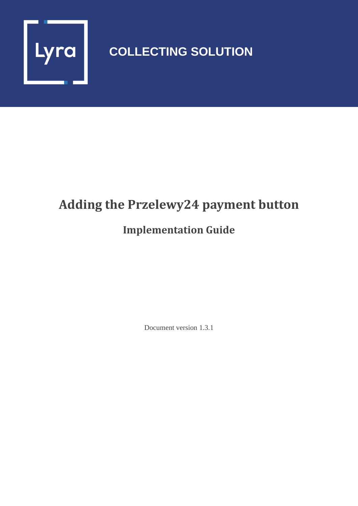

# **COLLECTING SOLUTION**

# **Adding the Przelewy24 payment button**

## **Implementation Guide**

Document version 1.3.1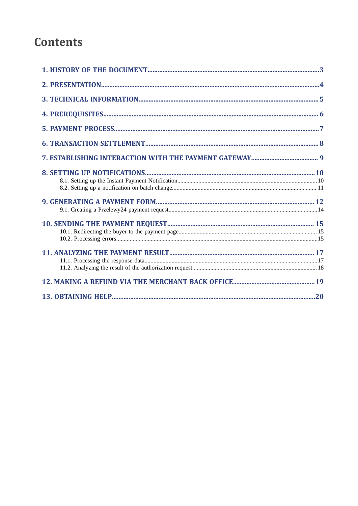## **Contents**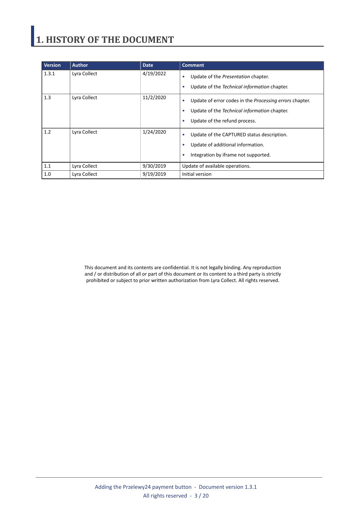# <span id="page-2-0"></span>**1. HISTORY OF THE DOCUMENT**

| <b>Version</b> | <b>Author</b> | <b>Date</b> | <b>Comment</b>                                                                                                                                                         |
|----------------|---------------|-------------|------------------------------------------------------------------------------------------------------------------------------------------------------------------------|
| 1.3.1          | Lyra Collect  | 4/19/2022   | Update of the Presentation chapter.<br>٠<br>Update of the Technical information chapter.<br>٠                                                                          |
| 1.3            | Lyra Collect  | 11/2/2020   | Update of error codes in the <i>Processing errors</i> chapter.<br>٠<br>Update of the Technical information chapter.<br>٠<br>Update of the refund process.<br>$\bullet$ |
| 1.2            | Lyra Collect  | 1/24/2020   | Update of the CAPTURED status description.<br>٠<br>Update of additional information.<br>٠<br>Integration by iframe not supported.<br>٠                                 |
| 1.1            | Lyra Collect  | 9/30/2019   | Update of available operations.                                                                                                                                        |
| 1.0            | Lyra Collect  | 9/19/2019   | Initial version                                                                                                                                                        |

This document and its contents are confidential. It is not legally binding. Any reproduction and / or distribution of all or part of this document or its content to a third party is strictly prohibited or subject to prior written authorization from Lyra Collect. All rights reserved.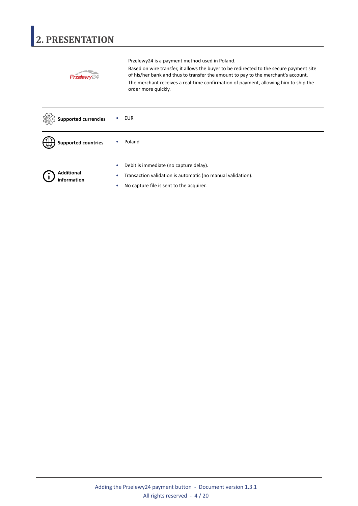# <span id="page-3-0"></span>**2. PRESENTATION**

|                             | Przelewy24 is a payment method used in Poland.                                                                                                                                                                                                                                             |
|-----------------------------|--------------------------------------------------------------------------------------------------------------------------------------------------------------------------------------------------------------------------------------------------------------------------------------------|
|                             | Based on wire transfer, it allows the buyer to be redirected to the secure payment site<br>of his/her bank and thus to transfer the amount to pay to the merchant's account.<br>The merchant receives a real-time confirmation of payment, allowing him to ship the<br>order more quickly. |
| <b>Supported currencies</b> | <b>EUR</b>                                                                                                                                                                                                                                                                                 |
| <b>Supported countries</b>  | Poland                                                                                                                                                                                                                                                                                     |
|                             | Debit is immediate (no capture delay).                                                                                                                                                                                                                                                     |
| <b>Additional</b>           | Transaction validation is automatic (no manual validation).                                                                                                                                                                                                                                |
| information                 | No capture file is sent to the acquirer.                                                                                                                                                                                                                                                   |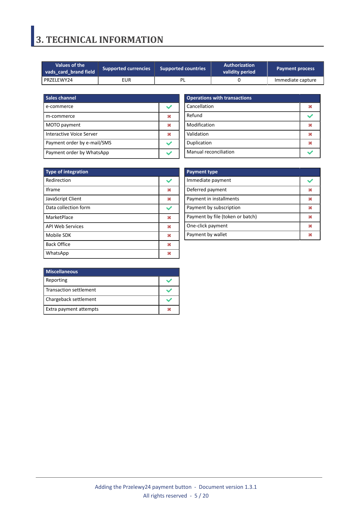## <span id="page-4-0"></span>**3. TECHNICAL INFORMATION**

| Values of the <b>N</b><br><b>Supported currencies</b><br>vads card brand field |     | <b>Supported countries</b> | Authorization<br>validity period | <b>Payment process</b> |  |
|--------------------------------------------------------------------------------|-----|----------------------------|----------------------------------|------------------------|--|
| PRZELEWY24                                                                     | EUR |                            |                                  | Immediate capture      |  |

| Sales channel               |  |
|-----------------------------|--|
| e-commerce                  |  |
| m-commerce                  |  |
| MOTO payment                |  |
| Interactive Voice Server    |  |
| Payment order by e-mail/SMS |  |
| Payment order by WhatsApp   |  |

| <b>Operations with transactions</b> |  |
|-------------------------------------|--|
| Cancellation                        |  |
| Refund                              |  |
| Modification                        |  |
| Validation                          |  |
| Duplication                         |  |
| Manual reconciliation               |  |

| <b>Type of integration</b> |   |
|----------------------------|---|
| Redirection                |   |
| <b>Iframe</b>              | M |
| JavaScript Client          | × |
| Data collection form       |   |
| MarketPlace                | × |
| <b>API Web Services</b>    | × |
| Mobile SDK                 | 发 |
| <b>Back Office</b>         | × |
| WhatsApp                   |   |

| <b>Payment type</b>              |   |
|----------------------------------|---|
| Immediate payment                |   |
| Deferred payment                 | ж |
| Payment in installments          | ж |
| Payment by subscription          | ж |
| Payment by file (token or batch) | ж |
| One-click payment                | ж |
| Payment by wallet                |   |

| <b>Miscellaneous</b>          |  |
|-------------------------------|--|
| Reporting                     |  |
| <b>Transaction settlement</b> |  |
| Chargeback settlement         |  |
| Extra payment attempts        |  |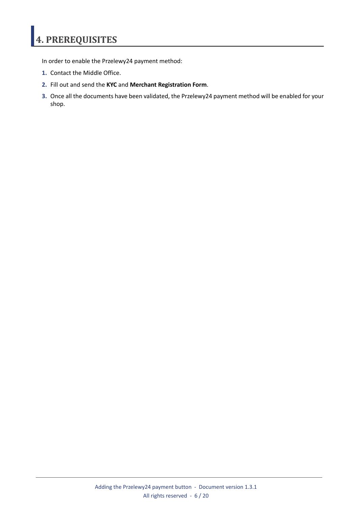# <span id="page-5-0"></span>**4. PREREQUISITES**

In order to enable the Przelewy24 payment method:

- **1.** Contact the Middle Office.
- **2.** Fill out and send the **KYC** and **Merchant Registration Form**.
- **3.** Once all the documents have been validated, the Przelewy24 payment method will be enabled for your shop.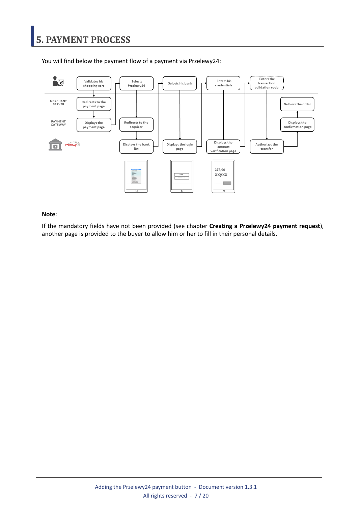

<span id="page-6-0"></span>You will find below the payment flow of a payment via Przelewy24:

#### **Note**:

If the mandatory fields have not been provided (see chapter **Creating a Przelewy24 payment request**), another page is provided to the buyer to allow him or her to fill in their personal details.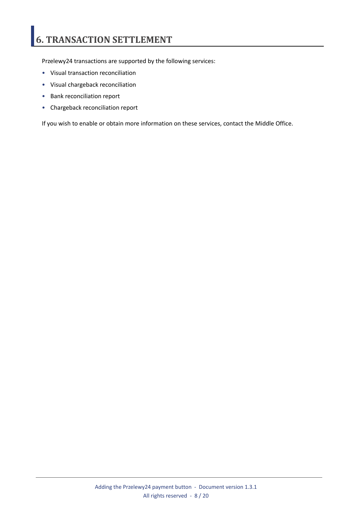# <span id="page-7-0"></span>**6. TRANSACTION SETTLEMENT**

Przelewy24 transactions are supported by the following services:

- Visual transaction reconciliation
- Visual chargeback reconciliation
- Bank reconciliation report
- Chargeback reconciliation report

If you wish to enable or obtain more information on these services, contact the Middle Office.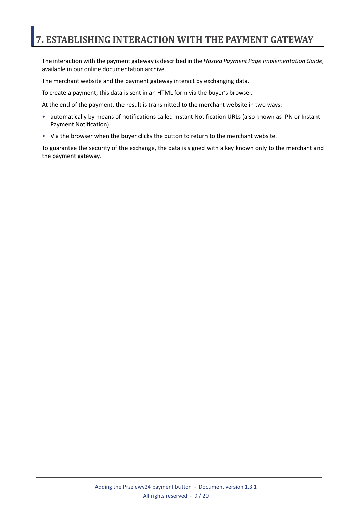## <span id="page-8-0"></span>**7. ESTABLISHING INTERACTION WITH THE PAYMENT GATEWAY**

The interaction with the payment gateway is described in the *Hosted Payment Page Implementation Guide*, available in our online documentation archive.

The merchant website and the payment gateway interact by exchanging data.

To create a payment, this data is sent in an HTML form via the buyer's browser.

At the end of the payment, the result is transmitted to the merchant website in two ways:

- automatically by means of notifications called Instant Notification URLs (also known as IPN or Instant Payment Notification).
- Via the browser when the buyer clicks the button to return to the merchant website.

To guarantee the security of the exchange, the data is signed with a key known only to the merchant and the payment gateway.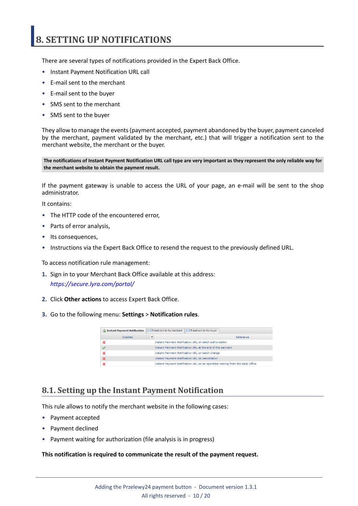## <span id="page-9-0"></span>**8. SETTING UP NOTIFICATIONS**

There are several types of notifications provided in the Expert Back Office.

- Instant Payment Notification URL call
- E-mail sent to the merchant
- E-mail sent to the buyer
- SMS sent to the merchant
- SMS sent to the buyer

They allow to manage the events(payment accepted, payment abandoned by the buyer, payment canceled by the merchant, payment validated by the merchant, etc.) that will trigger a notification sent to the merchant website, the merchant or the buyer.

The notifications of Instant Payment Notification URL call type are very important as they represent the only reliable way for **the merchant website to obtain the payment result.**

If the payment gateway is unable to access the URL of your page, an e-mail will be sent to the shop administrator.

It contains:

- The HTTP code of the encountered error,
- Parts of error analysis,
- Its consequences,
- Instructions via the Expert Back Office to resend the request to the previously defined URL.

To access notification rule management:

- **1.** Sign in to your Merchant Back Office available at this address: *<https://secure.lyra.com/portal/>*
- **2.** Click **Other actions** to access Expert Back Office.
- **3.** Go to the following menu: **Settings** > **Notification rules**.

| <b>Instant Payment Notification</b> | $\boxed{\smash{\sim}}$ E-mail sent to the merchant<br>$\boxed{\smash{\bowtie}}$ E-mail sent to the buyer |
|-------------------------------------|----------------------------------------------------------------------------------------------------------|
| Enabled                             | Reference                                                                                                |
|                                     | Instant Payment Notification URL on batch authorization                                                  |
|                                     | Instant Payment Notification URL at the end of the payment                                               |
|                                     | Instant Payment Notification URL on batch change                                                         |
|                                     | <b>Instant Payment Notification URL on cancellation</b>                                                  |
|                                     | Instant Payment Notification URL on an operation coming from the Back Office                             |

### <span id="page-9-1"></span>**8.1. Setting up the Instant Payment Notification**

This rule allows to notify the merchant website in the following cases:

- Payment accepted
- Payment declined
- Payment waiting for authorization (file analysis is in progress)

#### **This notification is required to communicate the result of the payment request.**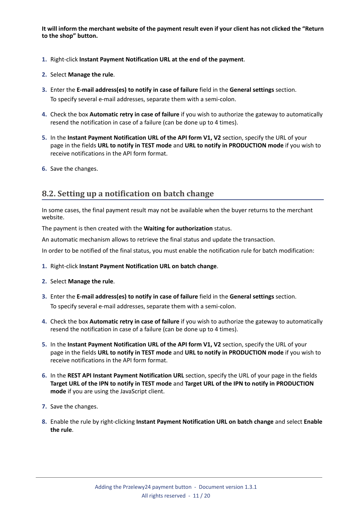It will inform the merchant website of the payment result even if your client has not clicked the "Return **to the shop" button.**

- **1.** Right-click **Instant Payment Notification URL at the end of the payment**.
- **2.** Select **Manage the rule**.
- **3.** Enter the **E-mail address(es) to notify in case of failure** field in the **General settings** section. To specify several e-mail addresses, separate them with a semi-colon.
- **4.** Check the box **Automatic retry in case of failure** if you wish to authorize the gateway to automatically resend the notification in case of a failure (can be done up to 4 times).
- **5.** In the **Instant Payment Notification URL of the API form V1, V2** section, specify the URL of your page in the fields **URL to notify in TEST mode** and **URL to notify in PRODUCTION mode** if you wish to receive notifications in the API form format.
- **6.** Save the changes.

### <span id="page-10-0"></span>**8.2. Setting up a notification on batch change**

In some cases, the final payment result may not be available when the buyer returns to the merchant website.

The payment is then created with the **Waiting for authorization** status.

An automatic mechanism allows to retrieve the final status and update the transaction.

In order to be notified of the final status, you must enable the notification rule for batch modification:

- **1.** Right-click **Instant Payment Notification URL on batch change**.
- **2.** Select **Manage the rule**.
- **3.** Enter the **E-mail address(es) to notify in case of failure** field in the **General settings** section. To specify several e-mail addresses, separate them with a semi-colon.
- **4.** Check the box **Automatic retry in case of failure** if you wish to authorize the gateway to automatically resend the notification in case of a failure (can be done up to 4 times).
- **5.** In the **Instant Payment Notification URL of the API form V1, V2** section, specify the URL of your page in the fields **URL to notify in TEST mode** and **URL to notify in PRODUCTION mode** if you wish to receive notifications in the API form format.
- **6.** In the **REST API Instant Payment Notification URL** section, specify the URL of your page in the fields Target URL of the IPN to notify in TEST mode and Target URL of the IPN to notify in PRODUCTION **mode** if you are using the JavaScript client.
- **7.** Save the changes.
- **8.** Enable the rule by right-clicking **Instant Payment Notification URL on batch change** and select **Enable the rule**.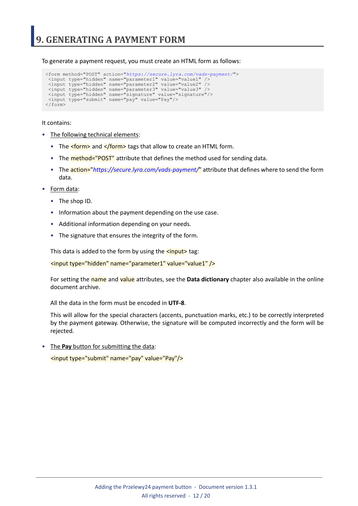<span id="page-11-0"></span>To generate a payment request, you must create an HTML form as follows:

```
<form method="POST" action="https://secure.lyra.com/vads-payment/">
 <input type="hidden" name="parameter1" value="value1" />
 <input type="hidden" name="parameter2" value="value2" />
 <input type="hidden" name="parameter3" value="value3" />
 <input type="hidden" name="signature" value="signature"/>
 <input type="submit" name="pay" value="Pay"/>
\langle/form\rangle
```
It contains:

- The following technical elements:
	- The  $\leq$  form> and  $\leq$ /form> tags that allow to create an HTML form.
	- The **method="POST"** attribute that defines the method used for sending data.
	- The action="*<https://secure.lyra.com/vads-payment/>*" attribute that defines where to send the form data.
- Form data:
	- The shop ID.
	- Information about the payment depending on the use case.
	- Additional information depending on your needs.
	- The signature that ensures the integrity of the form.

This data is added to the form by using the  $\langle$ input> tag:

<input type="hidden" name="parameter1" value="value1" />

For setting the name and value attributes, see the **Data dictionary** chapter also available in the online document archive.

All the data in the form must be encoded in **UTF-8**.

This will allow for the special characters (accents, punctuation marks, etc.) to be correctly interpreted by the payment gateway. Otherwise, the signature will be computed incorrectly and the form will be rejected.

• The **Pay** button for submitting the data: <input type="submit" name="pay" value="Pay"/>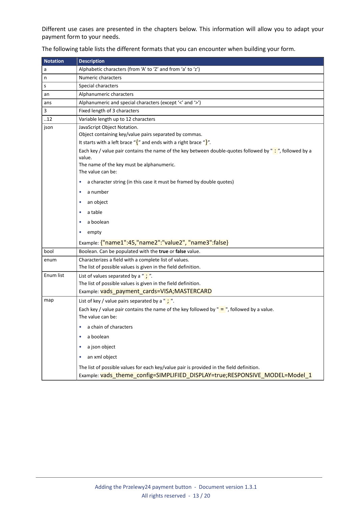Different use cases are presented in the chapters below. This information will allow you to adapt your payment form to your needs.

| <b>Notation</b> | <b>Description</b>                                                                                                                                                      |  |  |  |  |
|-----------------|-------------------------------------------------------------------------------------------------------------------------------------------------------------------------|--|--|--|--|
| a               | Alphabetic characters (from 'A' to 'Z' and from 'a' to 'z')                                                                                                             |  |  |  |  |
| n               | Numeric characters                                                                                                                                                      |  |  |  |  |
| s               | Special characters                                                                                                                                                      |  |  |  |  |
| an              | Alphanumeric characters                                                                                                                                                 |  |  |  |  |
| ans             | Alphanumeric and special characters (except '<' and '>')                                                                                                                |  |  |  |  |
| 3               | Fixed length of 3 characters                                                                                                                                            |  |  |  |  |
| .12             | Variable length up to 12 characters                                                                                                                                     |  |  |  |  |
| json            | JavaScript Object Notation.                                                                                                                                             |  |  |  |  |
|                 | Object containing key/value pairs separated by commas.                                                                                                                  |  |  |  |  |
|                 | It starts with a left brace " $\frac{1}{2}$ " and ends with a right brace " $\frac{1}{2}$ ".                                                                            |  |  |  |  |
|                 | Each key / value pair contains the name of the key between double-quotes followed by ": ", followed by a<br>value.                                                      |  |  |  |  |
|                 | The name of the key must be alphanumeric.<br>The value can be:                                                                                                          |  |  |  |  |
|                 | a character string (in this case it must be framed by double quotes)<br>٠                                                                                               |  |  |  |  |
|                 | a number<br>۰                                                                                                                                                           |  |  |  |  |
|                 | an object<br>٠                                                                                                                                                          |  |  |  |  |
|                 | a table<br>۰                                                                                                                                                            |  |  |  |  |
|                 | a boolean<br>۰                                                                                                                                                          |  |  |  |  |
|                 | empty<br>٠                                                                                                                                                              |  |  |  |  |
|                 | Example: {"name1":45,"name2":"value2", "name3":false}                                                                                                                   |  |  |  |  |
| bool            | Boolean. Can be populated with the true or false value.                                                                                                                 |  |  |  |  |
| enum            | Characterizes a field with a complete list of values.                                                                                                                   |  |  |  |  |
|                 | The list of possible values is given in the field definition.                                                                                                           |  |  |  |  |
| Enum list       | List of values separated by a " $\cdot$ ".                                                                                                                              |  |  |  |  |
|                 | The list of possible values is given in the field definition.                                                                                                           |  |  |  |  |
|                 | Example: vads payment cards=VISA; MASTERCARD                                                                                                                            |  |  |  |  |
| map             | List of key / value pairs separated by a " $\cdot$ ".                                                                                                                   |  |  |  |  |
|                 | Each key / value pair contains the name of the key followed by " $=$ ", followed by a value.<br>The value can be:                                                       |  |  |  |  |
|                 | • a chain of characters                                                                                                                                                 |  |  |  |  |
|                 | a boolean                                                                                                                                                               |  |  |  |  |
|                 | a json object<br>۰                                                                                                                                                      |  |  |  |  |
|                 | an xml object                                                                                                                                                           |  |  |  |  |
|                 | The list of possible values for each key/value pair is provided in the field definition.<br>Example: vads_theme_config=SIMPLIFIED_DISPLAY=true;RESPONSIVE_MODEL=Model_1 |  |  |  |  |

The following table lists the different formats that you can encounter when building your form.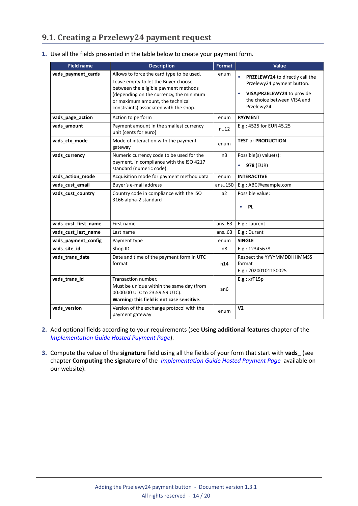## <span id="page-13-0"></span>**9.1. Creating a Przelewy24 payment request**

| 1. Use all the fields presented in the table below to create your payment form. |  |  |  |
|---------------------------------------------------------------------------------|--|--|--|
|                                                                                 |  |  |  |

| <b>Field name</b>    | <b>Description</b>                                                                                                                                                                                                                                | Format         | Value                                                                                                                                      |
|----------------------|---------------------------------------------------------------------------------------------------------------------------------------------------------------------------------------------------------------------------------------------------|----------------|--------------------------------------------------------------------------------------------------------------------------------------------|
| vads_payment_cards   | Allows to force the card type to be used.<br>Leave empty to let the Buyer choose<br>between the eligible payment methods<br>(depending on the currency, the minimum<br>or maximum amount, the technical<br>constraints) associated with the shop. | enum           | PRZELEWY24 to directly call the<br>Przelewy24 payment button.<br>VISA; PRZELEWY24 to provide<br>the choice between VISA and<br>Przelewy24. |
| vads_page_action     | Action to perform                                                                                                                                                                                                                                 | enum           | <b>PAYMENT</b>                                                                                                                             |
| vads_amount          | Payment amount in the smallest currency<br>unit (cents for euro)                                                                                                                                                                                  | n12            | E.g.: 4525 for EUR 45.25                                                                                                                   |
| vads_ctx_mode        | Mode of interaction with the payment<br>gateway                                                                                                                                                                                                   | enum           | <b>TEST or PRODUCTION</b>                                                                                                                  |
| vads currency        | Numeric currency code to be used for the<br>payment, in compliance with the ISO 4217<br>standard (numeric code).                                                                                                                                  | n <sub>3</sub> | Possible(s) value(s):<br>978 (EUR)<br>$\bullet$                                                                                            |
| vads_action_mode     | Acquisition mode for payment method data                                                                                                                                                                                                          | enum           | <b>INTERACTIVE</b>                                                                                                                         |
| vads_cust_email      | Buyer's e-mail address                                                                                                                                                                                                                            | ans150         | E.g.: ABC@example.com                                                                                                                      |
| vads_cust_country    | Country code in compliance with the ISO<br>3166 alpha-2 standard                                                                                                                                                                                  | a2             | Possible value:<br><b>PL</b><br>٠                                                                                                          |
| vads_cust_first_name | First name                                                                                                                                                                                                                                        | ans.63         | E.g.: Laurent                                                                                                                              |
| vads_cust_last_name  | Last name                                                                                                                                                                                                                                         | ans.63         | E.g.: Durant                                                                                                                               |
| vads_payment_config  | Payment type                                                                                                                                                                                                                                      | enum           | <b>SINGLE</b>                                                                                                                              |
| vads_site_id         | Shop ID                                                                                                                                                                                                                                           | n8             | E.g.: 12345678                                                                                                                             |
| vads_trans_date      | Date and time of the payment form in UTC<br>format                                                                                                                                                                                                | n14            | Respect the YYYYMMDDHHMMSS<br>format<br>E.g.: 20200101130025                                                                               |
| vads_trans_id        | Transaction number.<br>Must be unique within the same day (from<br>00:00:00 UTC to 23:59:59 UTC).<br>Warning: this field is not case sensitive.                                                                                                   | an6            | $E.g.:$ xr $T15p$                                                                                                                          |
| vads version         | Version of the exchange protocol with the<br>payment gateway                                                                                                                                                                                      | enum           | V <sub>2</sub>                                                                                                                             |

- **2.** Add optional fields according to your requirements (see **Using additional features** chapter of the *[Implementation](https://docs.lyra.com/en/collect/form-payment/standard-payment/sitemap.html) Guide Hosted Payment Page*).
- **3.** Compute the value of the **signature** field using all the fields of your form that start with **vads\_** (see chapter **Computing the signature** of the *[Implementation](https://docs.lyra.com/en/collect/form-payment/standard-payment/sitemap.html) Guide Hosted Payment Page* available on our website).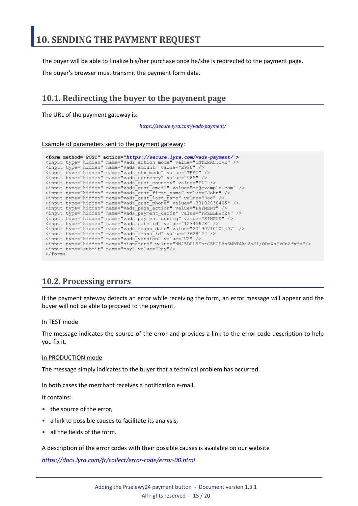<span id="page-14-0"></span>The buyer will be able to finalize his/her purchase once he/she is redirected to the payment page.

The buyer's browser must transmit the payment form data.

## <span id="page-14-1"></span>**10.1. Redirecting the buyer to the payment page**

The URL of the payment gateway is:

*<https://secure.lyra.com/vads-payment/>*

#### Example of parameters sent to the payment gateway:

|                           | <form action="https://secure.lyra.com/vads-payment/" method="POST"></form>                   |
|---------------------------|----------------------------------------------------------------------------------------------|
|                           | <input name="vads action mode" type="hidden" value="INTERACTIVE"/>                           |
|                           | <input name="vads amount" type="hidden" value="2990"/>                                       |
|                           | <input name="vads ctx mode" type="hidden" value="TEST"/>                                     |
|                           | <input name="vads currency" type="hidden" value="985"/>                                      |
|                           | <input name="vads cust country" type="hidden" value="PL"/>                                   |
|                           | <input name="vads cust email" type="hidden" value="me@example.com"/>                         |
|                           | <input name="vads cust first name" type="hidden" value="John"/>                              |
|                           | <input name="vads cust last name" type="hidden" value="Doe"/>                                |
|                           | <input name="vads cust phone" type="hidden" value="+33102030405"/>                           |
|                           | <input name="vads page action" type="hidden" value="PAYMENT"/>                               |
|                           | <input name="vads payment cards" type="hidden" value="PRZELEWY24"/>                          |
|                           | <input name="vads payment confiq" type="hidden" value="SINGLE"/>                             |
|                           | <input name="vads site id" type="hidden" value="12345678"/>                                  |
|                           | <input name="vads trans date" type="hidden" value="20190710101407"/>                         |
|                           | <input name="vads trans id" type="hidden" value="362812"/>                                   |
|                           | <input name="vads version" type="hidden" value="V2"/>                                        |
|                           | <input name="signature" type="hidden" value="NM25DPLKEbtGEHCDHn8MBT4ki6aJI/ODaWhCzCnAfvY="/> |
|                           | <input name="pay" type="submit" value="Pay"/>                                                |
| $\langle$ /form $\rangle$ |                                                                                              |

### <span id="page-14-2"></span>**10.2. Processing errors**

If the payment gateway detects an error while receiving the form, an error message will appear and the buyer will not be able to proceed to the payment.

#### In TEST mode

The message indicates the source of the error and provides a link to the error code description to help you fix it.

#### In PRODUCTION mode

The message simply indicates to the buyer that a technical problem has occurred.

In both cases the merchant receives a notification e-mail.

It contains:

- the source of the error,
- a link to possible causes to facilitate its analysis,
- all the fields of the form.

A description of the error codes with their possible causes is available on our website

*<https://docs.lyra.com/fr/collect/error-code/error-00.html>*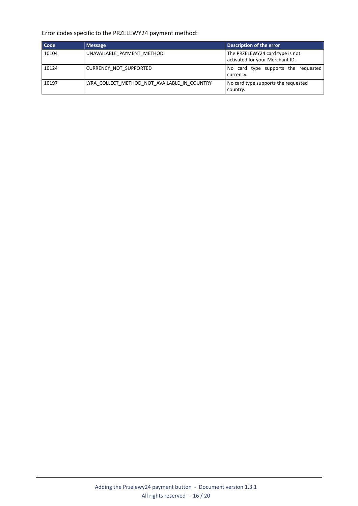Error codes specific to the PRZELEWY24 payment method:

| Code  | <b>Message</b>                               | Description of the error                                           |
|-------|----------------------------------------------|--------------------------------------------------------------------|
| 10104 | UNAVAILABLE PAYMENT METHOD                   | The PRZELEWY24 card type is not<br>activated for your Merchant ID. |
| 10124 | CURRENCY NOT SUPPORTED                       | No card type supports the requested<br>currency.                   |
| 10197 | LYRA COLLECT METHOD NOT AVAILABLE IN COUNTRY | No card type supports the requested<br>country.                    |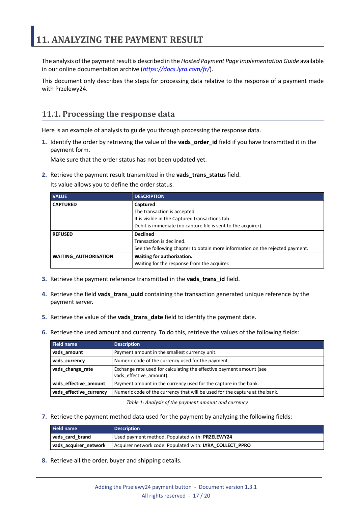<span id="page-16-0"></span>The analysis of the payment result is described in the *Hosted Payment Page Implementation Guide* available in our online documentation archive (*<https://docs.lyra.com/fr/>*).

This document only describes the steps for processing data relative to the response of a payment made with Przelewy24.

## <span id="page-16-1"></span>**11.1. Processing the response data**

Here is an example of analysis to guide you through processing the response data.

**1.** Identify the order by retrieving the value of the **vads\_order\_id** field if you have transmitted it in the payment form.

Make sure that the order status has not been updated yet.

**2.** Retrieve the payment result transmitted in the **vads\_trans\_status** field.

Its value allows you to define the order status.

| <b>VALUE</b>                 | <b>DESCRIPTION</b>                                                            |  |
|------------------------------|-------------------------------------------------------------------------------|--|
| <b>CAPTURED</b>              | Captured                                                                      |  |
|                              | The transaction is accepted.                                                  |  |
|                              | It is visible in the Captured transactions tab.                               |  |
|                              | Debit is immediate (no capture file is sent to the acquirer).                 |  |
| <b>REFUSED</b>               | <b>Declined</b>                                                               |  |
|                              | Transaction is declined.                                                      |  |
|                              | See the following chapter to obtain more information on the rejected payment. |  |
| <b>WAITING AUTHORISATION</b> | Waiting for authorization.                                                    |  |
|                              | Waiting for the response from the acquirer.                                   |  |

- **3.** Retrieve the payment reference transmitted in the **vads\_trans\_id** field.
- **4.** Retrieve the field **vads\_trans\_uuid** containing the transaction generated unique reference by the payment server.
- **5.** Retrieve the value of the **vads\_trans\_date** field to identify the payment date.
- **6.** Retrieve the used amount and currency. To do this, retrieve the values of the following fields:

| Field name              | <b>Description</b>                                                                              |  |
|-------------------------|-------------------------------------------------------------------------------------------------|--|
| vads amount             | Payment amount in the smallest currency unit.                                                   |  |
| vads_currency           | Numeric code of the currency used for the payment.                                              |  |
| vads_change_rate        | Exchange rate used for calculating the effective payment amount (see<br>vads effective amount). |  |
| vads_effective_amount   | Payment amount in the currency used for the capture in the bank.                                |  |
| vads_effective_currency | Numeric code of the currency that will be used for the capture at the bank.                     |  |

*Table 1: Analysis of the payment amount and currency*

**7.** Retrieve the payment method data used for the payment by analyzing the following fields:

| <b>Field name</b>     | <b>Description</b>                                       |  |
|-----------------------|----------------------------------------------------------|--|
| vads card brand       | Used payment method. Populated with: PRZELEWY24          |  |
| vads acquirer network | Acquirer network code. Populated with: LYRA COLLECT PPRO |  |

**8.** Retrieve all the order, buyer and shipping details.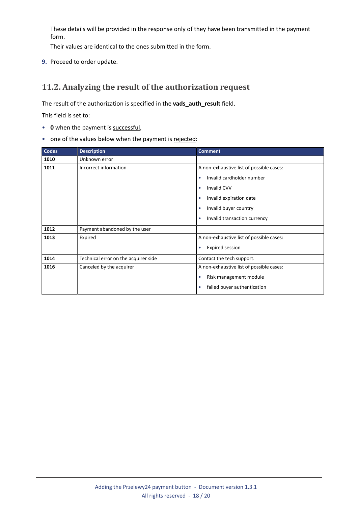These details will be provided in the response only of they have been transmitted in the payment form.

Their values are identical to the ones submitted in the form.

**9.** Proceed to order update.

## <span id="page-17-0"></span>**11.2. Analyzing the result of the authorization request**

The result of the authorization is specified in the **vads\_auth\_result** field.

This field is set to:

- **0** when the payment is successful,
- one of the values below when the payment is rejected:

| <b>Codes</b> | <b>Description</b>                   | <b>Comment</b>                            |
|--------------|--------------------------------------|-------------------------------------------|
| 1010         | Unknown error                        |                                           |
| 1011         | Incorrect information                | A non-exhaustive list of possible cases:  |
|              |                                      | Invalid cardholder number<br>$\bullet$    |
|              |                                      | <b>Invalid CVV</b><br>$\bullet$           |
|              |                                      | Invalid expiration date                   |
|              |                                      | Invalid buyer country                     |
|              |                                      | Invalid transaction currency<br>$\bullet$ |
| 1012         | Payment abandoned by the user        |                                           |
| 1013         | Expired                              | A non-exhaustive list of possible cases:  |
|              |                                      | <b>Expired session</b><br>$\bullet$       |
| 1014         | Technical error on the acquirer side | Contact the tech support.                 |
| 1016         | Canceled by the acquirer             | A non-exhaustive list of possible cases:  |
|              |                                      | Risk management module<br>$\bullet$       |
|              |                                      | failed buyer authentication               |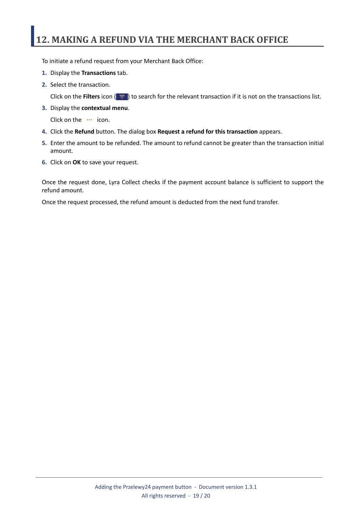## <span id="page-18-0"></span>**12. MAKING A REFUND VIA THE MERCHANT BACK OFFICE**

To initiate a refund request from your Merchant Back Office:

- **1.** Display the **Transactions** tab.
- **2.** Select the transaction.

Click on the **Filters** icon ( $\equiv$ ) to search for the relevant transaction if it is not on the transactions list.

**3.** Display the **contextual menu**.

Click on the **...** icon.

- **4.** Click the **Refund** button. The dialog box **Request a refund for this transaction** appears.
- **5.** Enter the amount to be refunded. The amount to refund cannot be greater than the transaction initial amount.
- **6.** Click on **OK** to save your request.

Once the request done, Lyra Collect checks if the payment account balance is sufficient to support the refund amount.

Once the request processed, the refund amount is deducted from the next fund transfer.